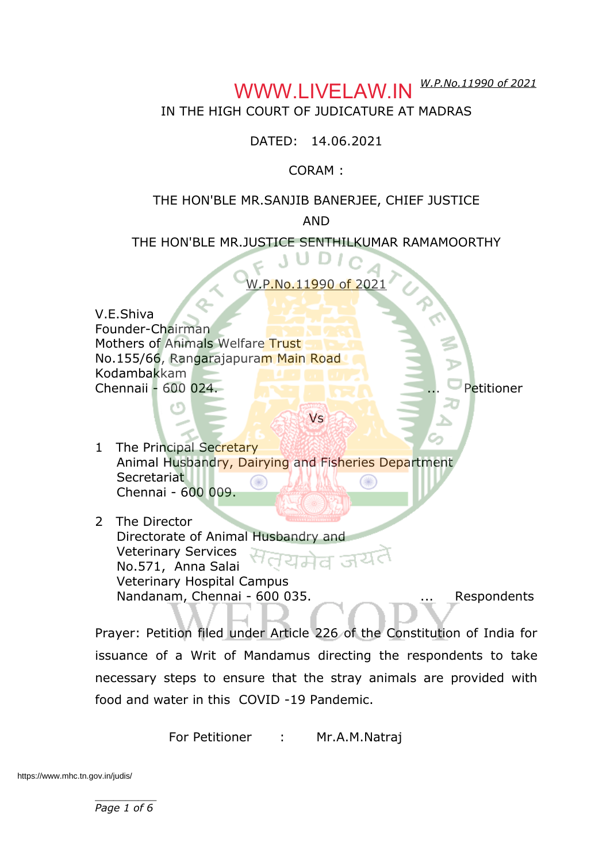#### *W.P.No.11990 of 2021* WWW.LIVELAW.IN

### IN THE HIGH COURT OF JUDICATURE AT MADRAS

DATED: 14.06.2021

CORAM :

#### THE HON'BLE MR.SANJIB BANERJEE, CHIEF JUSTICE

AND

#### THE HON'BLE MR.JUSTICE SENTHILKUMAR RAMAMOORTHY

W.P.No.11990 of 2021

V.E.Shiva Founder-Chairman Mothers of Animals Welfare Trust No.155/66, Rangarajapuram Main Road Kodambakkam Chennaii - 600 024. ... Petitioner

Vs

- 1 The Principal Secretary Animal Husbandry, Dairying and Fisheries Department **Secretariat** Chennai - 600 009.
- 2 The Director Directorate of Animal Husbandry and Veterinary Services No.571, Anna Salai Veterinary Hospital Campus Nandanam, Chennai - 600 035. ... ... Respondents

Prayer: Petition filed under Article 226 of the Constitution of India for issuance of a Writ of Mandamus directing the respondents to take necessary steps to ensure that the stray animals are provided with food and water in this COVID -19 Pandemic.

For Petitioner : Mr.A.M.Natraj

https://www.mhc.tn.gov.in/judis/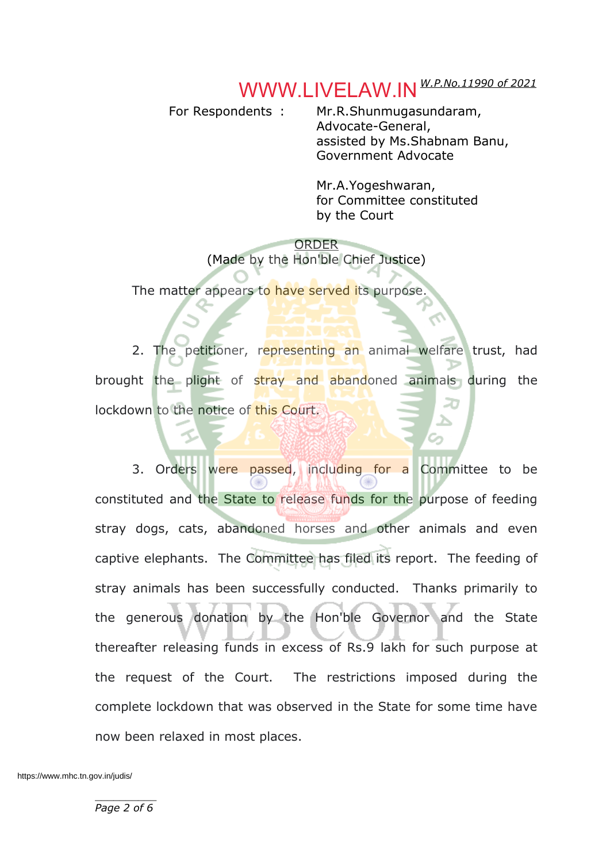#### *W.P.No.11990 of 2021* WWW.LIVELAW.IN

For Respondents : Mr.R.Shunmugasundaram, Advocate-General, assisted by Ms.Shabnam Banu, Government Advocate

> Mr.A.Yogeshwaran, for Committee constituted by the Court

ORDER (Made by the Hon'ble Chief Justice)

The matter appears to have served its purpose

2. The petitioner, representing an animal welfare trust, had brought the plight of stray and abandoned animals during the lockdown to the notice of this Court.

3. Orders were passed, including for a Committee to be constituted and the State to release funds for the purpose of feeding stray dogs, cats, abandoned horses and other animals and even captive elephants. The Committee has filed its report. The feeding of stray animals has been successfully conducted. Thanks primarily to the generous donation by the Hon'ble Governor and the State thereafter releasing funds in excess of Rs.9 lakh for such purpose at the request of the Court. The restrictions imposed during the complete lockdown that was observed in the State for some time have now been relaxed in most places.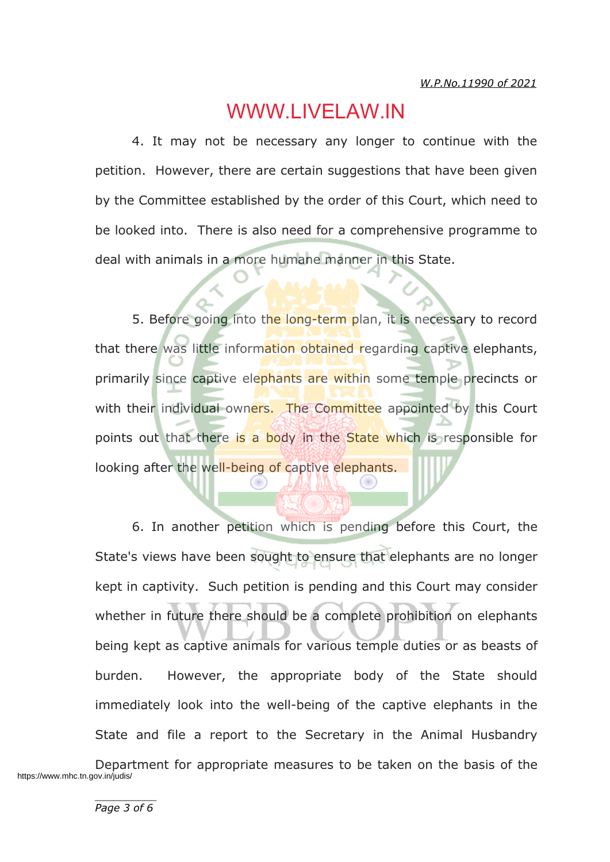### WWW.LIVELAW.IN

4. It may not be necessary any longer to continue with the petition. However, there are certain suggestions that have been given by the Committee established by the order of this Court, which need to be looked into. There is also need for a comprehensive programme to deal with animals in a more humane manner in this State.

5. Before going into the long-term plan, it is necessary to record that there was little information obtained regarding captive elephants, primarily since captive elephants are within some temple precincts or with their individual owners. The Committee appointed by this Court points out that there is a body in the State which is responsible for looking after the well-being of captive elephants.

6. In another petition which is pending before this Court, the State's views have been sought to ensure that elephants are no longer kept in captivity. Such petition is pending and this Court may consider whether in future there should be a complete prohibition on elephants being kept as captive animals for various temple duties or as beasts of burden. However, the appropriate body of the State should immediately look into the well-being of the captive elephants in the State and file a report to the Secretary in the Animal Husbandry

Department for appropriate measures to be taken on the basis of the https://www.mhc.tn.gov.in/judis/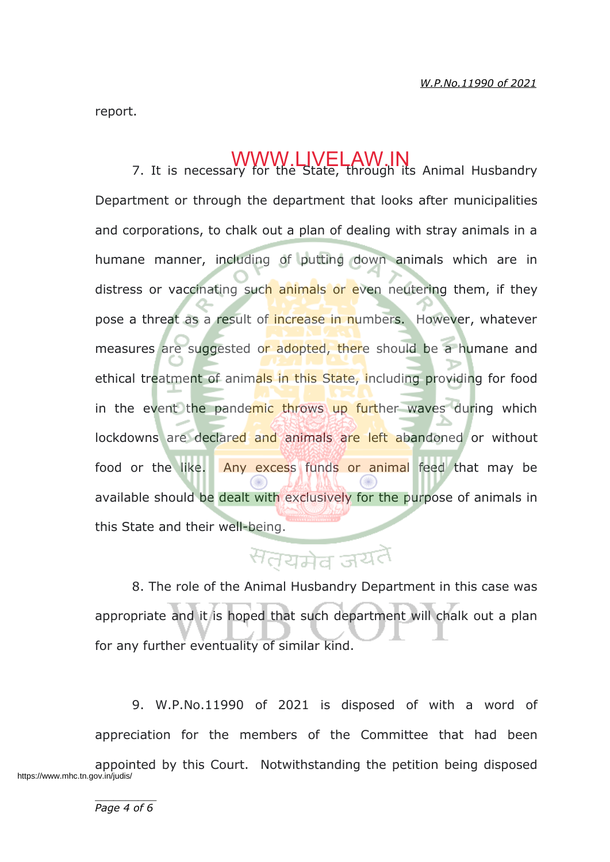report.

# WWW.LIVELAWING Animal Husbandry 7. It is necessary for the State, through its Animal Husbandry

Department or through the department that looks after municipalities and corporations, to chalk out a plan of dealing with stray animals in a humane manner, including of putting down animals which are in distress or vaccinating such animals or even neutering them, if they pose a threat as a result of increase in numbers. However, whatever measures are suggested or adopted, there should be a humane and ethical treatment of animals in this State, including providing for food in the event the pandemic throws up further waves during which lockdowns are declared and animals are left abandoned or without food or the like. Any excess funds or animal feed that may be available should be dealt with exclusively for the purpose of animals in this State and their well-being.

# सतयमेव जयतै

8. The role of the Animal Husbandry Department in this case was appropriate and it is hoped that such department will chalk out a plan for any further eventuality of similar kind.

9. W.P.No.11990 of 2021 is disposed of with a word of appreciation for the members of the Committee that had been appointed by this Court. Notwithstanding the petition being disposed https://www.mhc.tn.gov.in/judis/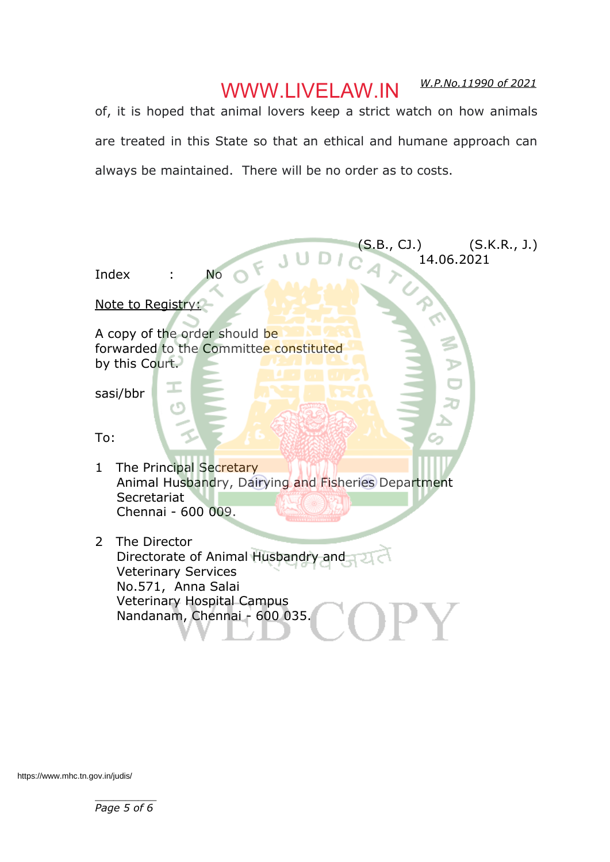## WWW.LIVELAW.IN

*W.P.No.11990 of 2021*

of, it is hoped that animal lovers keep a strict watch on how animals are treated in this State so that an ethical and humane approach can always be maintained. There will be no order as to costs.



https://www.mhc.tn.gov.in/judis/